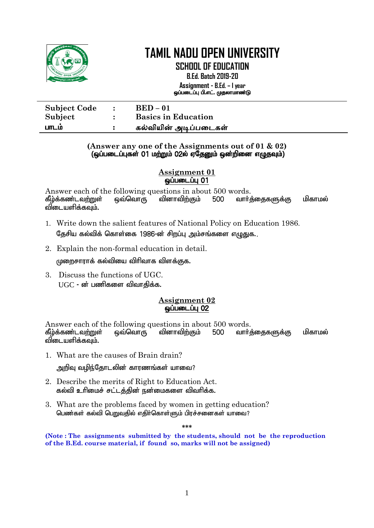

**SCHOOL OF EDUCATION**

**B.Ed. Batch 2019-20 Assignment - B.Ed. – I year** ஒப்படைப்பு பி.எட். முதலாமாண்டு

| <b>Subject Code</b> | $\sim$ 1. | $BED-01$                   |
|---------------------|-----------|----------------------------|
| Subject             |           | <b>Basics in Education</b> |
| பாடம                |           | கல்வியின் அடிப்படைகள்      |

#### **(Answer any one of the Assignments out of 01 & 02)** (ஒப்படைப்புகள் 01 மற்றும் 02ல் ஏதேனும் ஒன்றினை எழுதவும்)

**Assignment 01 @**LiumLium

Answer each of the following questions in about 500 words.<br>தீம்க்கண்டவற்றுள் வைவொரு வினாவிற்கும் 500 வார் கீம்க்கண்டவ**ற்றுள் ஒவ்வொரு வினாவிற்கும் 500 வார்**க்கைகளுக்கு மிகாமல் விடையளிக்கவம்.

- 1. Write down the salient features of National Policy on Education 1986. கேசிய கல்விக் கொள்கை 1986-ன் சிாப்ப அம்சங்களை எமுகுக..
- 2. Explain the non-formal education in detail.

 $\mu$ ணாசாராக் கல்வியை விரிவாக விளக்குக.

3. Discuss the functions of UGC.  $UGC$  - ன் பணிகளை விவாகிக்க.

## **Assignment 02 ஒப்படைப்பு 02**

Answer each of the following questions in about 500 words. கீழ்க்கண்டவ<u>ற்று</u>ள் ஒவ்வொரு வினாவிற்கும் 500 வார்த்தைகளுக்கு மிகாமல் விடையளிக்கவும்.

1. What are the causes of Brain drain?

அறிவு வழிந்தோடலின் காரணங்கள் யாவை?

- 2. Describe the merits of Right to Education Act. கல்வி உரிமைச் சட்டத்தின் நன்மைகளை விவரிக்க.
- 3. What are the problems faced by women in getting education? பெண்கள் கல்வி பெறுவதில் எதிர்கொள்ளும் பிரச்சனைகள் யாவை?

**\*\*\***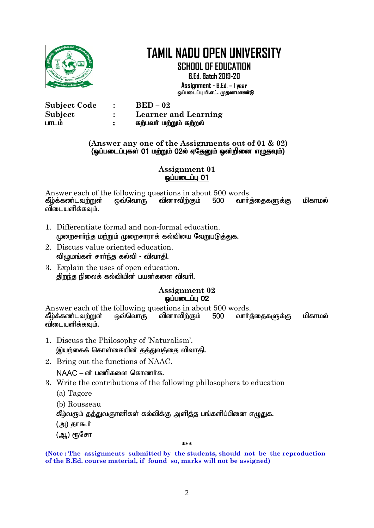

| <b>Subject Code</b> | $BED-02$                    |
|---------------------|-----------------------------|
| Subject             | <b>Learner and Learning</b> |
| பாடம                | கற்பவர் மற்றும் கற்றல்      |

#### **(Answer any one of the Assignments out of 01 & 02)** (ஒப்படைப்புகள் 01 மற்றும் 02ல் ஏதேனும் ஒன்றினை எழுதவும்)

#### **Assignment 01**  $\omega$ ப்படைப்பு $\overline{01}$

Answer each of the following questions in about 500 words. கீழ்க்கண்டவற்றுள் ஒவ்வொரு வினாவிற்கும் 500 வார்த்தைகளுக்கு மிகாமல் விடையளிக்கவும்.

- 1. Differentiate formal and non-formal education. முறைசார்ந்த மற்றும் முறைசாராக் கல்வியை வேறுபடுத்துக.
- 2. Discuss value oriented education. விழுமங்கள் சாா்ந்த கல்வி - விவாதி.
- 3. Explain the uses of open education. திறந்த நிலைக் கல்வியின் பயன்களை விவரி.

#### **Assignment 02 ஒப்படைப்பு 02**

Answer each of the following questions in about 500 words. கீழ்க்கண்டவ<u>ற்று</u>ள் ஒவ்வொரு வினாவிற்கும் 500 வாா்த்தைகளுக்கு மிகாமல் விடையளிக்கவும்.

- 1. Discuss the Philosophy of 'Naturalism'. இயற்கைக் கொள்கையின் கக்குவக்கை விவாகி.
- 2. Bring out the functions of NAAC.

 $NAAC - \omega$  பணிகளை கொணர்க.

- 3. Write the contributions of the following philosophers to education
	- (a) Tagore
	- (b) Rousseau

கீழ்வரும் தத்துவஞானிகள் கல்விக்கு அளித்த பங்களிப்பினை எழுதுக.

(அ) தாகூர்

(ஆ) ரூசோ

#### **\*\*\***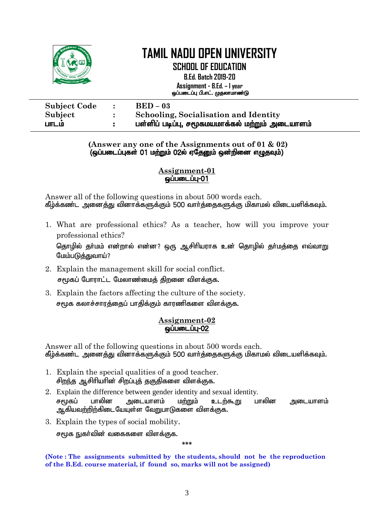| OPEN UNI            | <b>TAMIL NADU OPEN UNIVERSITY</b><br><b>SCHOOL OF EDUCATION</b><br><b>B.Ed. Batch 2019-20</b><br>Assignment - B.Ed. – I year<br>ஓப்படைப்பு பி.எட். முதலாமாண்டு |
|---------------------|----------------------------------------------------------------------------------------------------------------------------------------------------------------|
| <b>Subject Code</b> | $BED-03$                                                                                                                                                       |
| Subject             | <b>Schooling, Socialisation and Identity</b>                                                                                                                   |
| பாடம                | பள்ளிப் படிப்பு, சமூகமயமாக்கல் மற்றும் அடையாளம்                                                                                                                |

#### **(Answer any one of the Assignments out of 01 & 02)** (ஒப்படைப்புகள் 01 மற்றும் 02ல் ஏதேனும் ஒன்றினை எழுதவும்)

#### **Assignment-01**  $Q$ ப்படைப்பு $-01$

Answer all of the following questions in about 500 words each. கீழ்க்கண்ட அனைத்து வினாக்களுக்கும் 500 வார்த்தைகளுக்கு மிகாமல் விடையளிக்கவும்.

1. What are professional ethics? As a teacher, how will you improve your professional ethics?

தொழில் தா்மம் என்றால் என்ன? ஒரு ஆசிாியராக உன் தொழில் தா்மத்தை எவ்வாறு மேம்படுத்துவாய்?

- 2. Explain the management skill for social conflict. சமூகப் போராட்ட மேலாண்மைக் கிறனை விளக்குக.
- 3. Explain the factors affecting the culture of the society. சமூக கலாச்சாரத்தைப் பாதிக்கும் காரணிகளை விளக்குக.

### **Assignment-02 ஒப்படைப்பு-02**

Answer all of the following questions in about 500 words each. கீழ்க்கண்ட அனைத்து வினாக்களுக்கும் 500 வார்த்தைகளுக்கு மிகாமல் விடையளிக்கவும்.

- 1. Explain the special qualities of a good teacher. சிறந்த ஆசிரியரின் சிறப்புத் தகுதிகளை விளக்குக.
- 2. Explain the difference between gender identity and sexual identity. சமூகப் பாலின அடையாளம் ம<u>ற்று</u>ம் உடற்கூறு பாலின அடையாளம்  $\mu$ டகியவற்றிற்கிடையேயள்ள வேறுபாடுகளை விளக்குக.
- 3. Explain the types of social mobility.

சமூக நுகர்வின் வகைகளை விளக்குக.

**\*\*\***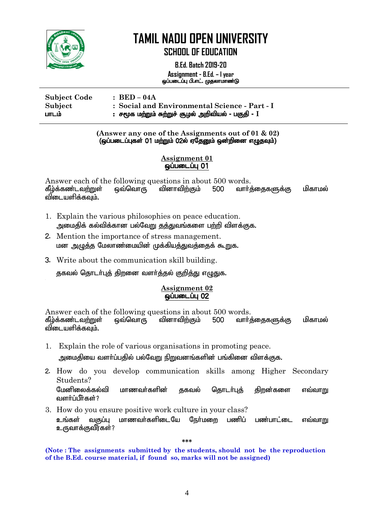

**SCHOOL OF EDUCATION**

**B.Ed. Batch 2019-20 Assignment - B.Ed. – I year** ஒப்படைப்பு பி.எட். முதலாமாண்டு

I

# **Subject Code : BED – 04A Subject : Social and Environmental Science - Part - I**  ghlk; : r%f kw;Wk; Rw;Wr; #oy; mwptpay; - gFjp - **I**

#### **(Answer any one of the Assignments out of 01 & 02)**  $\overline{G}$ (ஒப்படைப்புகள் 01 மற்றும் 02ல் ஏதேனும் ஒன்றினை எழுதவும்)

#### **Assignment 01**  $\ddot{\rm g}$ ப்படைப்பு $\rm 01$

Answer each of the following questions in about 500 words.<br>கீழ்க்கண்டவற்றுள் ஒவ்வொரு வினாவிற்கும் 500 வார்ச் கீழ்க்கண்டவ<u>ற்று</u>ள் ஒவ்வொரு வினாவிற்கும் 500 வாா்த்தைகளுக்கு மிகாமல் விடையளிக்கவும்.

- 1. Explain the various philosophies on peace education. அமைகிக் கல்விக்கான பல்வேறு குத்துவங்களை பற்றி விளக்குக.
- 2. Mention the importance of stress management. மன அழுத்த மேலாண்மையின் முக்கியத்துவத்தைக் கூறுக.
- 3. Write about the communication skill building.

தகவல் தொடர்புத் திறனை வளர்த்தல் குறித்து எழுதுக.

#### **Assignment 02** ஒப்படைப்பு 02

Answer each of the following questions in about 500 words.<br>தீழ்க்கண்டவற்றுள் ஒவ்வொரு வினாவிற்கும் 500 வார்ச் கீழ்க்கண்டவற்றுள் ஒவ்வொரு வினாவிற்கும் 500 வார்க்கைகளுக்கு மிகாமல் விடையளிக்கவும்.

- 1. Explain the role of various organisations in promoting peace. அமைகியை வளர்ப்பகில் பல்வோு நிறுவனங்களின் பங்கினை விளக்குக.
- 2. How do you develop communication skills among Higher Secondary Students?

மேனிலைக்கல்வி மாணவர்களின் குகவல் கொடர்புக் கிறன்களை எவ்வாறு வளர்ப்பீர்கள்?

3. How do you ensure positive work culture in your class? உங்கள் வகுப்பு மாணவர்களிடையே நேர்மறை பணிப் பண்பாட்டை எவ்வாறு உருவாக்குவீர்கள்?

**\*\*\***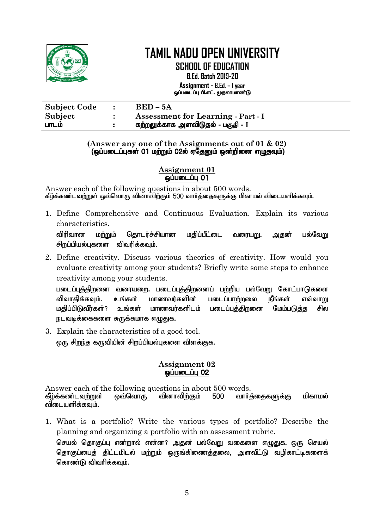

**SCHOOL OF EDUCATION**

**B.Ed. Batch 2019-20 Assignment - B.Ed. – I year** ஒப்படைப்பு பி.எட். முதலாமாண்டு

| <b>Subject Code</b> | $BED-5A$                                  |
|---------------------|-------------------------------------------|
| Subject             | <b>Assessment for Learning - Part - I</b> |
| பாடம                | கற்றலுக்காக அளவிடுதல் - பகுதி - I         |

#### **(Answer any one of the Assignments out of 01 & 02)** (xg;gilg;Gfs; 01 kw;Wk; 02y; VNjDk; xd;wpid vOjTk;)

### **Assignment 01**  $q$ ப்படைப்பு $q$  01

Answer each of the following questions in about 500 words. கீழ்க்கண்டவற்றுள் ஒவ்வொரு வினாவிற்கும் 500 வார்த்தைகளுக்கு மிகாமல் விடையளிக்கவும்.

1. Define Comprehensive and Continuous Evaluation. Explain its various characteristics.

விரிவான மற்றும் தொடர்ச்சியான மதிப்பீட்டை வரையறு. அதன் பல்வேறு சிறப்பியல்பகளை விவரிக்கவம்.

2. Define creativity. Discuss various theories of creativity. How would you evaluate creativity among your students? Briefly write some steps to enhance creativity among your students.

படைப்புத்திறனை வரையறை. படைப்புத்திறனைப் பற்றிய பல்வேறு கோட்பாடுகளை விவாகிக்கவம். உங்கள் மாணவர்களின் படைப்பாற்றலை நீங்கள் எவ்வாறு மகிப்பிடுவீர்கள்? உங்கள் மாணவர்களிடம் படைப்பக்கிறனை மேம்படுக்க சில நடவடிக்கைகளை சுருக்கமாக எழுதுக.

3. Explain the characteristics of a good tool. ஒரு சிறந்த கருவியின் சிறப்பியல்புகளை விளக்குக.

# **Assignment 02 ஒப்படைப்பு 02**

Answer each of the following questions in about 500 words. கீழ்க்கண்டவற்றுள் ஒவ்வொரு வினாவிற்கும் 500 வார்க்கைகளுக்கு மிகாமல் விடையளிக்கவும்.

1. What is a portfolio? Write the various types of portfolio? Describe the planning and organizing a portfolio with an assessment rubric. செயல் தொகுப்பு என்றால் என்ன? அதன் பல்வேறு வகைளை எழுதுக. ஒரு செயல் கொகுப்பைக் கிட்டமிடல் மற்றும் ஒருங்கிணைக்கலை. அளவீட்டு வமிகாட்டிகளைக் கொண்டு விவரிக்கவும்.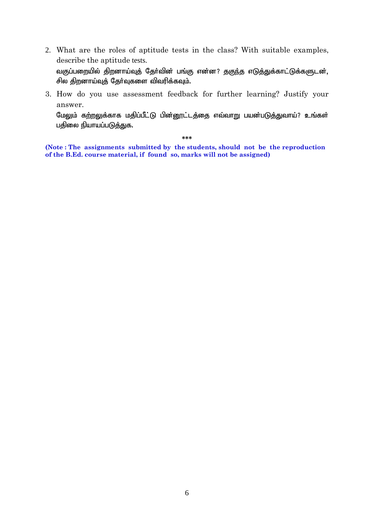2. What are the roles of aptitude tests in the class? With suitable examples, describe the aptitude tests.

வகுப்பறையில் திறனாய்வுத் தோ்வின் பங்கு என்ன? தகுந்த எடுத்துக்காட்டுக்களுடன், சில திறனாய்வுத் தேர்வுகளை விவரிக்கவும்.

3. How do you use assessment feedback for further learning? Justify your answer.

மேலும் க<u>ற்றலு</u>க்காக மதிப்பீட்டு பின்னூட்டத்தை எவ்வாறு பயன்படுத்துவாய்? உங்கள் பதிலை நியாயப்படுத்துக.

**\*\*\***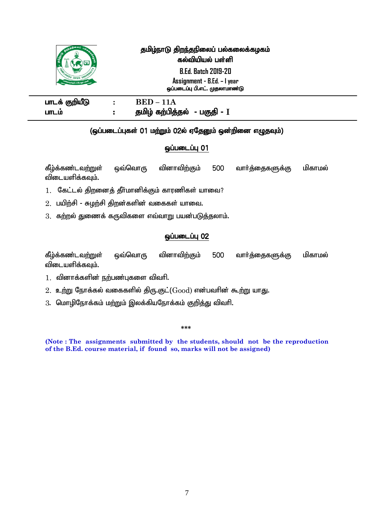|                | தமிழ்நாடு திறந்தநிலைப் பல்கலைக்கழகம்<br>கல்வியியல் பள்ளி<br><b>B.Ed. Batch 2019-20</b> |
|----------------|----------------------------------------------------------------------------------------|
|                | Assignment - B.Ed. - I year                                                            |
|                | ஒப்படைப்பு பி.எட். முதலாமாண்டு                                                         |
| பாடக் குறியீடு | $BED-11A$                                                                              |
| பாடம்          | தமிழ் கற்பித்தல் - பகுதி - I                                                           |
|                |                                                                                        |

# (ஒப்படைப்புகள் 01 மற்றும் 02ல் ஏதேனும் ஒன்றினை எழுதவும்)

### **ஒப்படைப்பு 01**

கீழ்க்கண்டவற்றுள் ஒவ்வொரு வினாவிற்கும் 500 வார்த்தைகளுக்கு மிகாமல் விடையளிக்கவும்.

- $1.$  கேட்டல் திறனைத் தீர்மானிக்கும் காரணிகள் யாவை?
- $2.$  பயிற்சி சுழற்சி திறன்களின் வகைகள் யாவை.
- $3.$  கற்றல் துணைக் கருவிகளை எவ்வாறு பயன்படுத்தலாம்.

### **ஒப்படைப்பு 02**

கீழ்க்கண்டவற்றுள் ஒவ்வொரு வினாவிற்கும் 500 வார்த்தைகளுக்கு மிகாமல் விடையளிக்கவும்.

- $1.$  வினாக்களின் நற்பண்புகளை விவரி.
- $2.$  உற்று நோக்கல் வகைகளில் திரு.குட் $(Good)$  என்பவரின் கூற்று யாது.
- 3. மொழிநோக்கம் மற்றும் இலக்கியநோக்கம் குறித்து விவரி.

**\*\*\***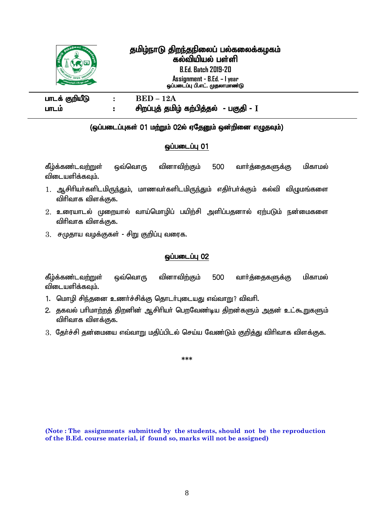

# தமிழ்நாடு திறந்தநிலைப் பல்கலைக்கழகம் கல்வியியல் பள்ளி

**B.Ed. Batch 2019-20 Assignment - B.Ed. – I year**

ஒப்படைப்பு பி.எட். முதலாமாண்டு

 $I = E$  **BED** – 12A ghlk; : rpwg;Gj; jkpo; fw;gpj;jy; - gFjp - **I**

#### 1 (ஒப்படைப்புகள் 01 மற்றும் 02ல் ஏதேனும் ஒன்றினை எழுதவும்)

## $\ddot{\rm g}$ ப்படைப்பு $\rm 01$

கீழ்க்கண்டவற்றுள் ஒவ்வொரு வினாவிற்கும் 500 வார்த்தைகளுக்கு மிகாமல் விடையளிக்கவும்.

- 1. ஆசிரியர்களிடமிருந்தும், மாணவர்களிடமிருந்தும் எதிர்பர்க்கும் கல்வி விழுமங்களை விரிவாக விளக்குக.
- $2.$  உரையாடல் முறையால் வாய்மொழிப் பயிற்சி அளிப்பதனால் ஏற்படும் நன்மைகளை விரிவாக விளக்குக.
- $3.$  சமுதாய வழக்குகள் சிறு குறிப்பு வரைக.

### **ஒப்படைப்பு 02**

கீழ்க்கண்டவற்றுள் ஒவ்வொரு வினாவிற்கும் 500 வாா்த்தைகளுக்கு மிகாமல் விடையளிக்கவம்.

- 1. மொழி சிந்தனை உணர்ச்சிக்கு தொடர்புடையது எவ்வாறு? விவரி.
- 2. தகவல் பரிமாற்றத் திறனின் ஆசிரியர் பெறவேண்டிய திறன்களும் அதன் உட்கூறுகளும் விரிவாக விளக்குக.
- $3.$  கேர்ச்சி தன்மையை எவ்வாறு மதிப்பிடல் செய்ய வேண்டும் குறித்து விரிவாக விளக்குக.

**\*\*\***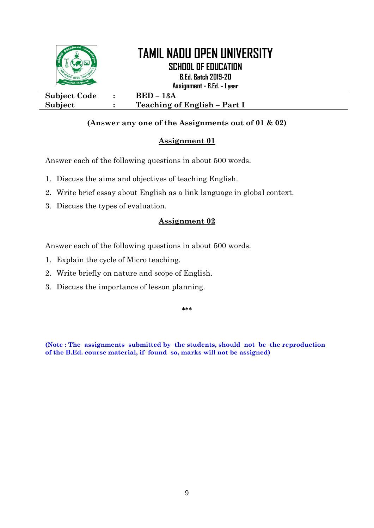

# **(Answer any one of the Assignments out of 01 & 02)**

# **Assignment 01**

Answer each of the following questions in about 500 words.

- 1. Discuss the aims and objectives of teaching English.
- 2. Write brief essay about English as a link language in global context.
- 3. Discuss the types of evaluation.

### **Assignment 02**

Answer each of the following questions in about 500 words.

- 1. Explain the cycle of Micro teaching.
- 2. Write briefly on nature and scope of English.
- 3. Discuss the importance of lesson planning.

**\*\*\***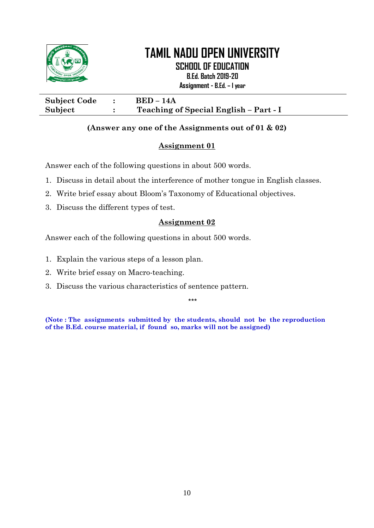

**SCHOOL OF EDUCATION**

**B.Ed. Batch 2019-20**

**Assignment - B.Ed. – I year**

**Subject Code : BED – 14A Subject : Teaching of Special English – Part - I**

## **(Answer any one of the Assignments out of 01 & 02)**

## **Assignment 01**

Answer each of the following questions in about 500 words.

- 1. Discuss in detail about the interference of mother tongue in English classes.
- 2. Write brief essay about Bloom's Taxonomy of Educational objectives.
- 3. Discuss the different types of test.

# **Assignment 02**

Answer each of the following questions in about 500 words.

- 1. Explain the various steps of a lesson plan.
- 2. Write brief essay on Macro-teaching.
- 3. Discuss the various characteristics of sentence pattern.

\*\*\*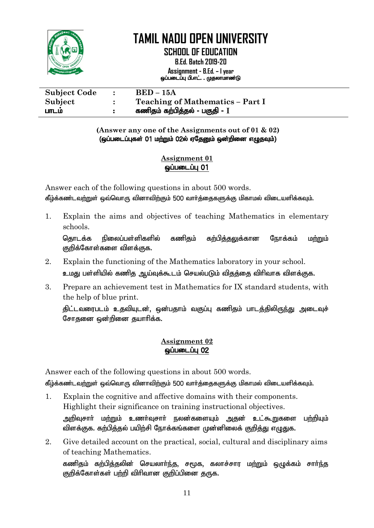

**SCHOOL OF EDUCATION**

**B.Ed. Batch 2019-20 Assignment - B.Ed. – I year** ஒப்படைப்பு பி.எட். . முதலாமாண்டு

| <b>Subject Code</b> |   | $BED-15A$                               |
|---------------------|---|-----------------------------------------|
| Subject             |   | <b>Teaching of Mathematics - Part I</b> |
| பாடம                | н | கணிதம் கற்பித்தல் - பகுதி - $\rm I$     |

**(Answer any one of the Assignments out of 01 & 02)** (ஒப்படைப்புகள் 01 மற்றும் 02ல் ஏதேனும் ஒன்றினை எழுதவும்)

# **Assignment 01** ஒப்படைப்பு 01

Answer each of the following questions in about 500 words. கீழ்க்கண்டவற்றுள் ஒவ்வொரு வினாவிற்கும் 500 வார்த்தைகளுக்கு மிகாமல் விடையளிக்கவும்.

1. Explain the aims and objectives of teaching Mathematics in elementary schools.

தொடக்க நிலைப்பள்ளிகளில் கணிகும் கற்பிக்கலுக்கான நோக்கம் மற்றும் குறிக்கோள்களை விளக்குக.

- 2. Explain the functioning of the Mathematics laboratory in your school. உமது பள்ளியில் கணித ஆய்வுக்கூடம் செயல்படும் விதத்தை விரிவாக விளக்குக.
- 3. Prepare an achievement test in Mathematics for IX standard students, with the help of blue print.

திட்டவரைபடம் உதவியுடன், ஒன்பதாம் வகுப்பு கணிதம் பாடத்திலிருந்து அடைவுச் சோதனை ஒன்றினை தயாரிக்க.

# **Assignment 02 ஒப்படைப்பு 02**

Answer each of the following questions in about 500 words.

கீழ்க்கண்டவற்றுள் ஒவ்வொரு வினாவிற்கும் 500 வார்த்தைகளுக்கு மிகாமல் விடையளிக்கவும்.

- 1. Explain the cognitive and affective domains with their components. Highlight their significance on training instructional objectives. அறிவுசார் மற்றும் உணர்வுசார் நலன்களையும் அதன் உட்கூறுகளை பற்றியும் விளக்குக. கற்பித்தல் பயிற்சி நோக்கங்களை முன்னிலைக் குறித்து எழுதுக.
- 2. Give detailed account on the practical, social, cultural and disciplinary aims of teaching Mathematics.

கணிகும் கற்பிக்கலின் செயலார்ந்து, சமூக, கலாச்சார மற்றும் ஒழுக்கம் சார்ந்த குறிக்கோள்கள் பற்றி விரிவான குறிப்பினை துருக.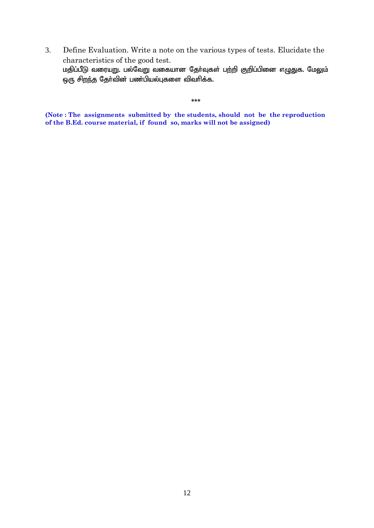3. Define Evaluation. Write a note on the various types of tests. Elucidate the characteristics of the good test. மதிப்பீடு வரையறு. பல்வேறு வகையான தோ்வுகள் பற்றி குறிப்பினை எழுதுக. மேலும் ஒரு சிறந்த தேர்வின் பண்பியல்புகளை விவரிக்க.

**\*\*\***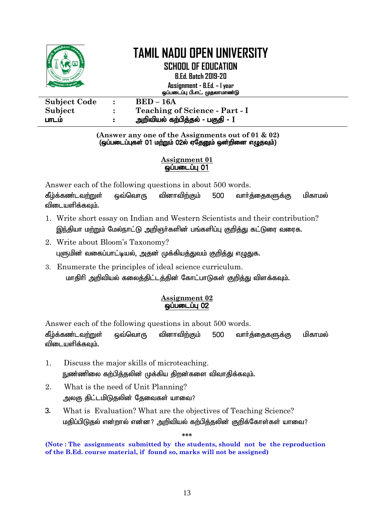

**SCHOOL OF EDUCATION**

**B.Ed. Batch 2019-20**

**Assignment - B.Ed. – I year** ஒப்படைப்பு பி.எட். முதலாமாண்டு

| <b>Subject Code</b> | $BED-16A$                             |
|---------------------|---------------------------------------|
| Subject             | <b>Teaching of Science - Part - I</b> |
| பாடம                | அறிவியல் கற்பித்தல் - பகுதி - $\rm I$ |

**(Answer any one of the Assignments out of 01 & 02)**  $\overline{Q}$ (ஒப்படைப்புகள் 01 மற்றும் 02ல் ஏதேனும் ஒன்றினை எழுதவும்)

# **Assignment 01**  $\omega$ ப்படைப்பு $\overline{01}$

Answer each of the following questions in about 500 words.

கீழ்க்கண்டவற்றுள் ஒவ்வொரு வினாவிற்கும் 500 வார்க்கைகளுக்கு மிகாமல் விடையளிக்கவும்.

- 1. Write short essay on Indian and Western Scientists and their contribution? இந்தியா மற்றும் மேல்நாட்டு அறிஞர்களின் பங்களிப்பு குறித்து கட்டுரை வரைக.
- 2. Write about Bloom's Taxonomy? புளுமின் வகைப்பாட்டியல், அதன் முக்கியத்துவம் குறித்து எழுதுக.
- 3. Enumerate the principles of ideal science curriculum. மாதிரி அறிவியல் கலைத்திட்டத்தின் கோட்பாடுகள் குறித்து விளக்கவும்.

# **Assignment 02** <u>ஓப்படைப்பு 02</u>

Answer each of the following questions in about 500 words.

கீழ்க்கண்டவற்றுள் ஒவ்வொரு வினாவிற்கும் 500 வார்க்கைகளுக்கு மிகாமல் விடையளிக்கவும்.

- 1. Discuss the major skills of microteaching. நுண்ணிலை கற்பித்தலின் முக்கிய திறன்களை விவாதிக்கவும்.
- 2. What is the need of Unit Planning? அலகு திட்டமிடுதலின் தேவைகள் யாவை?
- 3. What is Evaluation? What are the objectives of Teaching Science? மதிப்பிடுதல் என்றால் என்ன? அறிவியல் கற்பித்தலின் குறிக்கோள்கள் யாவை?

**\*\*\***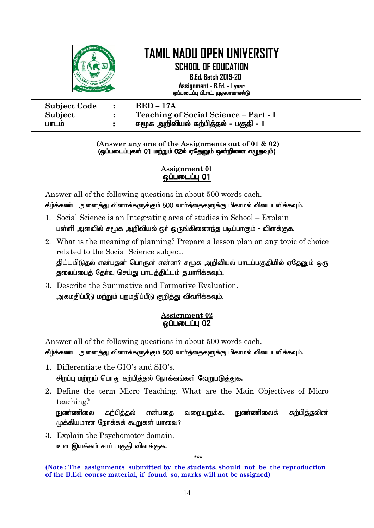

**SCHOOL OF EDUCATION B.Ed. Batch 2019-20 Assignment - B.Ed. – I year** xg;gilg;G gp.vl;. Kjyhkhz;L

| <b>Subject Code</b> | $\mathbf{r}$ | $BED - 17A$                           |
|---------------------|--------------|---------------------------------------|
| Subject             |              | Teaching of Social Science - Part - I |
| பாடம                |              | சமூக அறிவியல் கற்பித்தல் - பகுதி - I  |

**(Answer any one of the Assignments out of 01 & 02)** (ஒப்படைப்புகள் 01 மற்றும் 02ல் ஏதேனும் ஒன்றினை எழுதவும்)

#### **Assignment 01**  ஒப்படைப்பு 01

Answer all of the following questions in about 500 words each. கீழ்க்கண்ட அனைத்து வினாக்களுக்கும் 500 வார்த்தைகளுக்கு மிகாமல் விடையளிக்கவும்.

- 1. Social Science is an Integrating area of studies in School Explain பள்ளி அளவில் சமூக அறிவியல் ஒர் ஒருங்கிணைந்த படிப்பாகும் - விளக்குக.
- 2. What is the meaning of planning? Prepare a lesson plan on any topic of choice related to the Social Science subject. திட்டமிடுதல் என்பதன் பொருள் என்ன? சமூக அறிவியல் பாடப்பகுதியில் ஏதேனும் ஒரு தலைப்பைத் தேர்வு செய்து பாடத்திட்டம் தயாரிக்கவும்.
- 3. Describe the Summative and Formative Evaluation. அகமதிப்பீடு மற்றும் புறமதிப்பீடு குறித்து விவரிக்கவும்.

### **Assignment 02 ஒப்படைப்பு 02**

Answer all of the following questions in about 500 words each.

கீழ்க்கண்ட அனைத்து வினாக்களுக்கும் 500 வார்த்தைகளுக்கு மிகாமல் விடையளிக்கவும்.

- 1. Differentiate the GIO's and SIO's. சிறப்பு மற்றும் பொது கற்பித்தல் நோக்கங்கள் வேறுபடுத்துக.
- 2. Define the term Micro Teaching. What are the Main Objectives of Micro teaching?

<u>நு</u>ண்ணிலை கற்பித்தல் என்பதை வறையறுக்க. நுண்ணிலைக் கற்பித்தலின் முக்கியமான நோக்கக் கூறுகள் யாவை?

\*\*\*

3. Explain the Psychomotor domain. உள இயக்கம் சாா் பகுதி விளக்குக.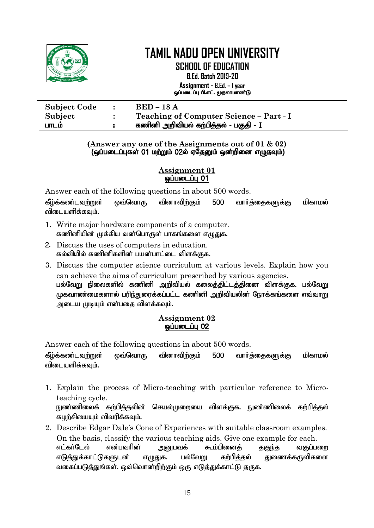

**SCHOOL OF EDUCATION**

**B.Ed. Batch 2019-20 Assignment - B.Ed. – I year** ஒப்படைப்பு பி.எட். முதலாமாண்டு

| <b>Subject Code</b> | $\bullet$ | <b>BED</b> – 18 A                       |
|---------------------|-----------|-----------------------------------------|
| Subject             |           | Teaching of Computer Science – Part - I |
| பாடம                |           | கணினி அறிவியல் கற்பித்தல் - பகுதி - I   |

#### **(Answer any one of the Assignments out of 01 & 02)** (ஒப்படைப்புகள் 01 மற்றும் 02ல் ஏதேனும் ஒன்றினை எழுதவும்)

**Assignment 01**  $\ddot{\mathbf{Q}}$ ப்படைப்பு $\ddot{\mathbf{Q}}$ 

Answer each of the following questions in about 500 words.

கீழ்க்கண்டவற்றுள் ஒவ்வொரு வினாவிற்கும் 500 வார்த்தைகளுக்கு மிகாமல் விடையளிக்கவும்.

- 1. Write major hardware components of a computer. கணினியின் முக்கிய வன்பொருள் பாகங்களை எமுகுக.
- 2. Discuss the uses of computers in education. கல்வியில் கணினிகளின் பயன்பாட்டை விளக்குக.
- 3. Discuss the computer science curriculum at various levels. Explain how you can achieve the aims of curriculum prescribed by various agencies. பல்வேறு நிலைகளில் கணினி அறிவியல் கலைத்திட்டத்தினை விளக்குக. பல்வேறு  $\mu$ கவாண்மைகளால் பரிந்துரைக்கப்பட்ட கணினி அறிவியலின் நோக்கங்களை எவ்வாறு அடைய முடியும் என்பதை விளக்கவும்.

## **Assignment 02**  $\overline{\phantom{000}}$  Quillebury  $\overline{\phantom{000}}$   $\overline{\phantom{000}}$   $\overline{\phantom{000}}$

Answer each of the following questions in about 500 words.

கீழ்க்கண்டவற்றுள் ஒவ்வொரு வினாவிற்கும் 500 வார்க்கைகளுக்கு மிகாமல் விடையளிக்கவும்.

- 1. Explain the process of Micro-teaching with particular reference to Microteaching cycle. நுண்ணிலைக் கற்பித்தலின் செயல்முறையை விளக்குக. நுண்ணிலைக் கற்பித்தல் சுமர்சியையம் விவரிக்கவம்.
- 2. Describe Edgar Dale's Cone of Experiences with suitable classroom examples. On the basis, classify the various teaching aids. Give one example for each. எட்கர்டேல் என்பவரின் அறுபவக் கூம்பினைக் குகுந்த வகுப்பறை எடுத்துக்காட்டுகளுடன் எழுதுக. பல்வேறு கற்பித்தல் துணைக்கருவிகளை வகைப்படுத்துங்கள். ஒவ்வொன்றிற்கும் ஒரு எடுத்துக்காட்டு தருக.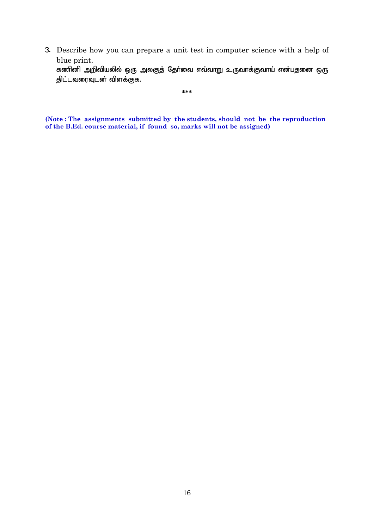3. Describe how you can prepare a unit test in computer science with a help of blue print.

கணினி அறிவியலில் ஒரு அலகுத் தேர்வை எவ்வாறு உருவாக்குவாய் என்பதனை ஒரு திட்டவரைவுடன் விளக்குக.

**\*\*\***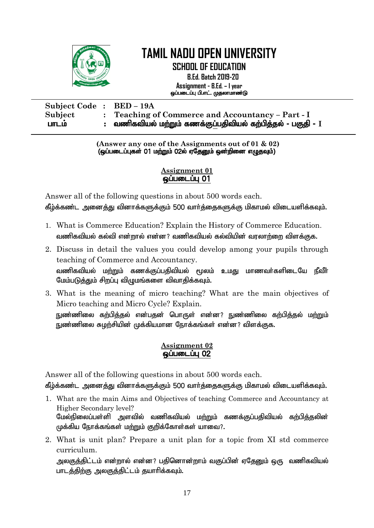

**SCHOOL OF EDUCATION B.Ed. Batch 2019-20 Assignment - B.Ed. – I year** xg;gilg;G gp.vl;. Kjyhkhz;L

| <b>Subject Code:</b> | <b>BED – 19A</b>                                                    |
|----------------------|---------------------------------------------------------------------|
| Subject              | Teaching of Commerce and Accountancy – Part - I                     |
| பாடம                 | :    வணிகவியல் மற்றும் கணக்குப்பதிவியல் கற்பித்தல் - பகுதி - $\,$ I |

**(Answer any one of the Assignments out of 01 & 02)** (ஒப்படைப்புகள் 01 மற்றும் 02ல் ஏதேனும் ஒன்றினை எழுதவும்)

### **Assignment 01**   $\omega$ ப்படைப்பு $\theta$ 1

Answer all of the following questions in about 500 words each. கீழ்க்கண்ட அனைத்து வினாக்களுக்கும் 500 வார்த்தைகளுக்கு மிகாமல் விடையளிக்கவும்.

- 1. What is Commerce Education? Explain the History of Commerce Education. வணிகவியல் கல்வி என்றால் என்ன? வணிகவியல் கல்வியின் வரலாற்றை விளக்குக.
- 2. Discuss in detail the values you could develop among your pupils through teaching of Commerce and Accountancy. வணிகவியல் மற்றும் கணக்குப்பதிவியல் மூலம் உமது மாணவர்களிடையே நீவீர் மேம்படுத்தும் சிறப்பு விழுமங்களை விவாதிக்கவும்.
- 3. What is the meaning of micro teaching? What are the main objectives of Micro teaching and Micro Cycle? Explain. நுண்ணிலை கற்பித்தல் என்பதன் பொருள் என்ன? நுண்ணிலை கற்பித்தல் மற்றும் நுண்ணிலை சுழற்சியின் முக்கியமான நோக்கங்கள் என்ன? விளக்குக.

## **Assignment 02**  ஒப்படைப்பு 02

Answer all of the following questions in about 500 words each.

கீழ்க்கண்ட அனைத்து வினாக்களுக்கும் 500 வார்த்தைகளுக்கு மிகாமல் விடையளிக்கவும்.

- 1. What are the main Aims and Objectives of teaching Commerce and Accountancy at Higher Secondary level? மேல்நிலைப்பள்ளி அளவில் வணிகவியல் மற்றும் கணக்குப்பதிவியல் கற்பித்தலின் முக்கிய நோக்கங்கள் மற்றும் குறிக்கோள்கள் யாவை?.
- 2. What is unit plan? Prepare a unit plan for a topic from XI std commerce curriculum.

அலகுக்கிட்டம் என்றால் என்ன? பகினொன்றாம் வகுப்பின் எகேயை் ஒரு வணிகவியல் பாடத்திற்கு அலகுத்திட்டம் தயாரிக்கவும்.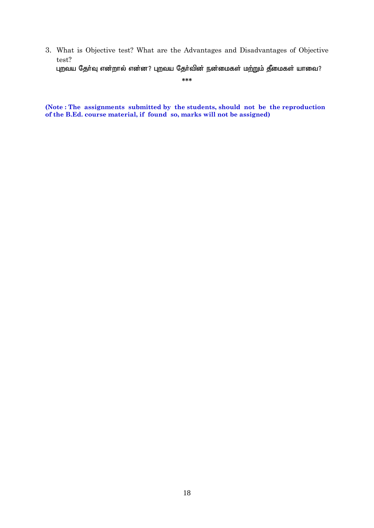3. What is Objective test? What are the Advantages and Disadvantages of Objective test? புறவய தேர்வு என்றால் என்ன? புறவய தேர்வின் நன்மைகள் மற்றும் தீமைகள் யாவை?

**\*\*\***